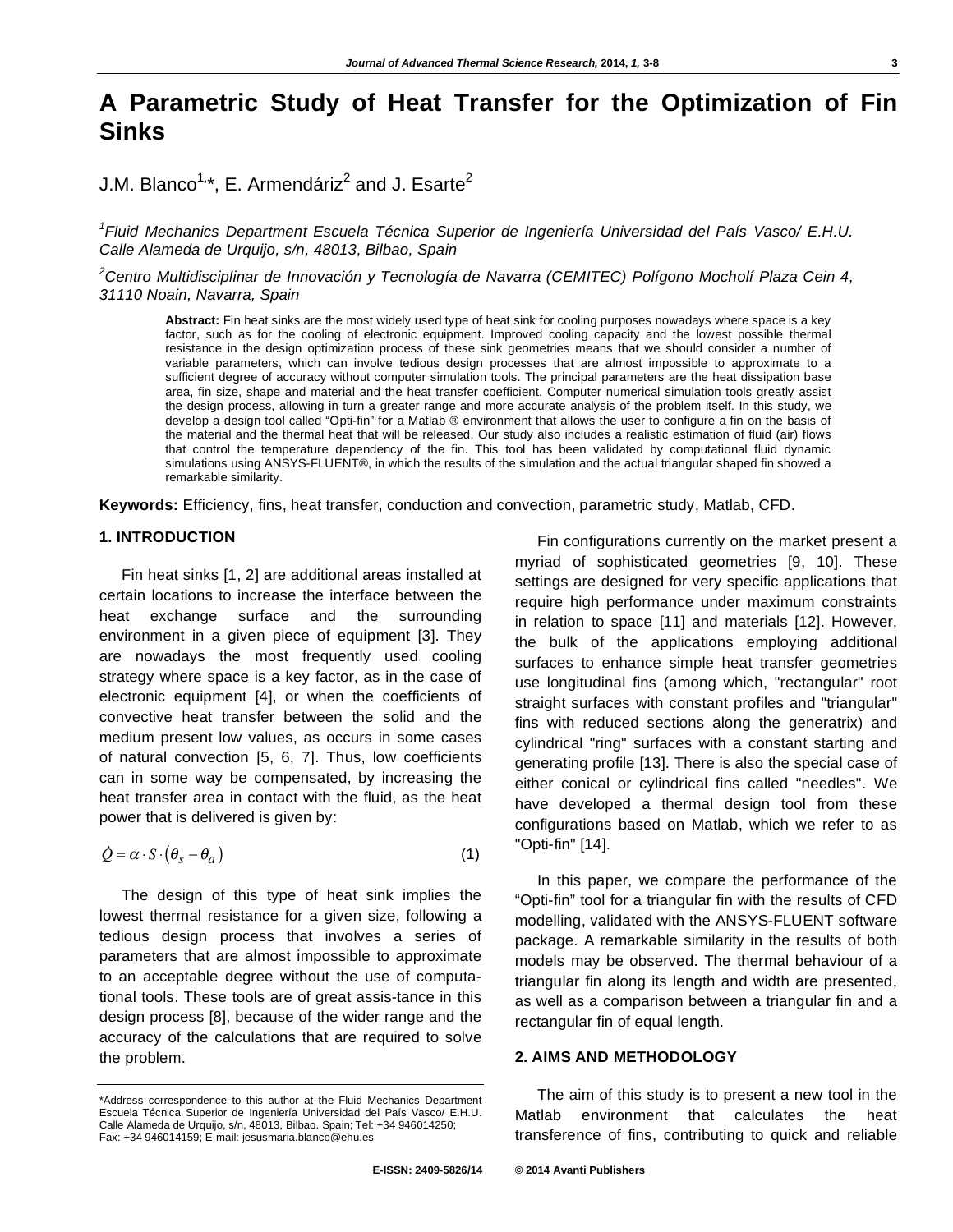# **A Parametric Study of Heat Transfer for the Optimization of Fin Sinks**

# J.M. Blanco<sup>1,</sup>\*, E. Armendáriz<sup>2</sup> and J. Esarte<sup>2</sup>

*1 Fluid Mechanics Department Escuela Técnica Superior de Ingeniería Universidad del País Vasco/ E.H.U. Calle Alameda de Urquijo, s/n, 48013, Bilbao, Spain* 

*2 Centro Multidisciplinar de Innovación y Tecnología de Navarra (CEMITEC) Polígono Mocholí Plaza Cein 4, 31110 Noain, Navarra, Spain* 

**Abstract:** Fin heat sinks are the most widely used type of heat sink for cooling purposes nowadays where space is a key factor, such as for the cooling of electronic equipment. Improved cooling capacity and the lowest possible thermal resistance in the design optimization process of these sink geometries means that we should consider a number of variable parameters, which can involve tedious design processes that are almost impossible to approximate to a sufficient degree of accuracy without computer simulation tools. The principal parameters are the heat dissipation base area, fin size, shape and material and the heat transfer coefficient. Computer numerical simulation tools greatly assist the design process, allowing in turn a greater range and more accurate analysis of the problem itself. In this study, we develop a design tool called "Opti-fin" for a Matlab ® environment that allows the user to configure a fin on the basis of the material and the thermal heat that will be released. Our study also includes a realistic estimation of fluid (air) flows that control the temperature dependency of the fin. This tool has been validated by computational fluid dynamic simulations using ANSYS-FLUENT®, in which the results of the simulation and the actual triangular shaped fin showed a remarkable similarity.

**Keywords:** Efficiency, fins, heat transfer, conduction and convection, parametric study, Matlab, CFD.

# **1. INTRODUCTION**

Fin heat sinks [1, 2] are additional areas installed at certain locations to increase the interface between the heat exchange surface and the surrounding environment in a given piece of equipment [3]. They are nowadays the most frequently used cooling strategy where space is a key factor, as in the case of electronic equipment [4], or when the coefficients of convective heat transfer between the solid and the medium present low values, as occurs in some cases of natural convection [5, 6, 7]. Thus, low coefficients can in some way be compensated, by increasing the heat transfer area in contact with the fluid, as the heat power that is delivered is given by:

$$
\dot{Q} = \alpha \cdot S \cdot (\theta_s - \theta_a) \tag{1}
$$

The design of this type of heat sink implies the lowest thermal resistance for a given size, following a tedious design process that involves a series of parameters that are almost impossible to approximate to an acceptable degree without the use of computational tools. These tools are of great assis-tance in this design process [8], because of the wider range and the accuracy of the calculations that are required to solve the problem.

Fin configurations currently on the market present a myriad of sophisticated geometries [9, 10]. These settings are designed for very specific applications that require high performance under maximum constraints in relation to space [11] and materials [12]. However, the bulk of the applications employing additional surfaces to enhance simple heat transfer geometries use longitudinal fins (among which, "rectangular" root straight surfaces with constant profiles and "triangular" fins with reduced sections along the generatrix) and cylindrical "ring" surfaces with a constant starting and generating profile [13]. There is also the special case of either conical or cylindrical fins called "needles". We have developed a thermal design tool from these configurations based on Matlab, which we refer to as "Opti-fin" [14].

In this paper, we compare the performance of the "Opti-fin" tool for a triangular fin with the results of CFD modelling, validated with the ANSYS-FLUENT software package. A remarkable similarity in the results of both models may be observed. The thermal behaviour of a triangular fin along its length and width are presented, as well as a comparison between a triangular fin and a rectangular fin of equal length.

# **2. AIMS AND METHODOLOGY**

The aim of this study is to present a new tool in the Matlab environment that calculates the heat transference of fins, contributing to quick and reliable

<sup>\*</sup>Address correspondence to this author at the Fluid Mechanics Department Escuela Técnica Superior de Ingeniería Universidad del País Vasco/ E.H.U. Calle Alameda de Urquijo, s/n, 48013, Bilbao. Spain; Tel: +34 946014250; Fax: +34 946014159; E-mail: jesusmaria.blanco@ehu.es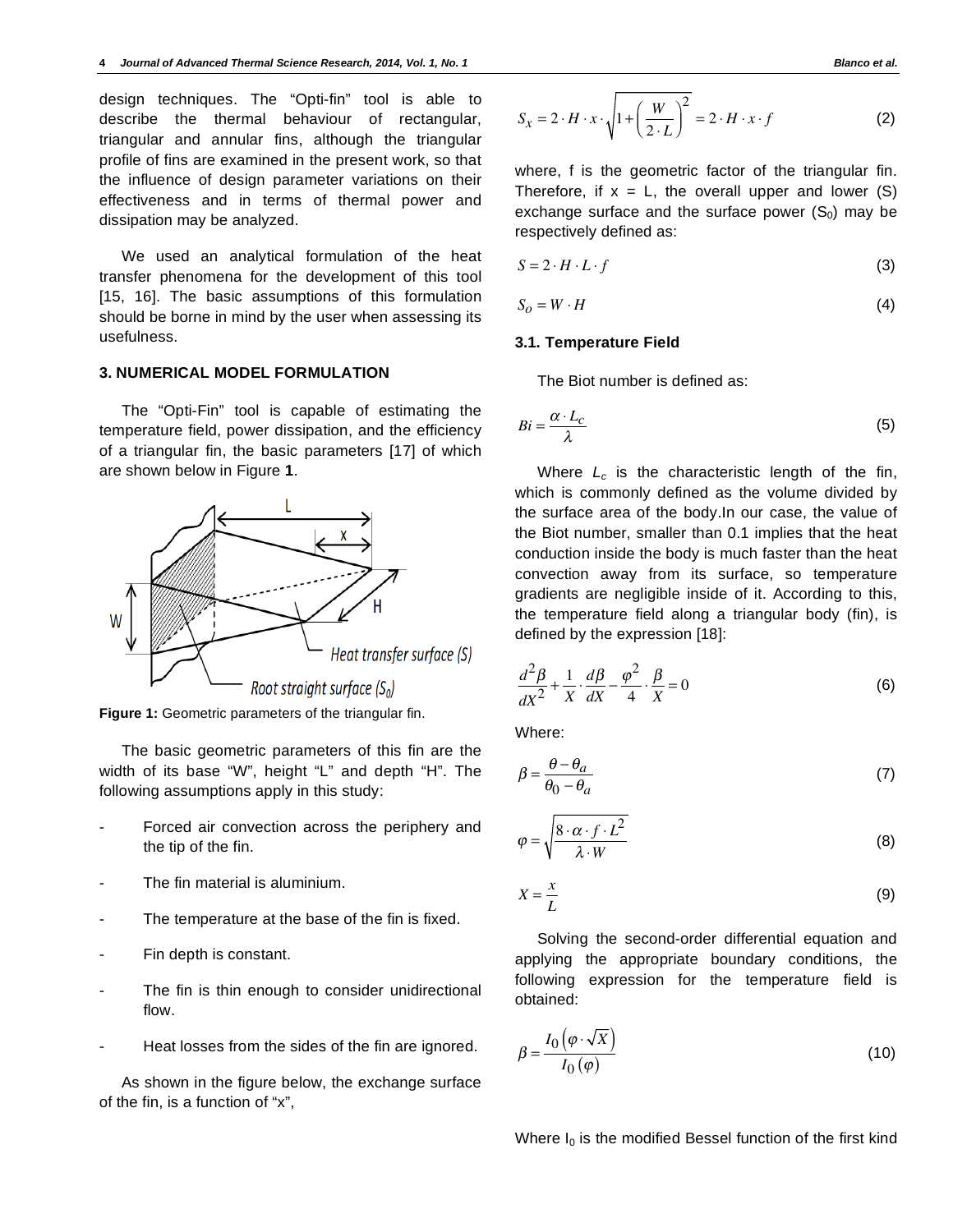design techniques. The "Opti-fin" tool is able to describe the thermal behaviour of rectangular, triangular and annular fins, although the triangular profile of fins are examined in the present work, so that the influence of design parameter variations on their effectiveness and in terms of thermal power and dissipation may be analyzed.

We used an analytical formulation of the heat transfer phenomena for the development of this tool [15, 16]. The basic assumptions of this formulation should be borne in mind by the user when assessing its usefulness.

# **3. NUMERICAL MODEL FORMULATION**

The "Opti-Fin" tool is capable of estimating the temperature field, power dissipation, and the efficiency of a triangular fin, the basic parameters [17] of which are shown below in Figure **1**.



**Figure 1:** Geometric parameters of the triangular fin.

The basic geometric parameters of this fin are the width of its base "W", height "L" and depth "H". The following assumptions apply in this study:

- Forced air convection across the periphery and the tip of the fin.
- The fin material is aluminium.
- The temperature at the base of the fin is fixed.
- Fin depth is constant.
- The fin is thin enough to consider unidirectional flow.
- Heat losses from the sides of the fin are ignored.

As shown in the figure below, the exchange surface of the fin, is a function of "x",

$$
S_x = 2 \cdot H \cdot x \cdot \sqrt{1 + \left(\frac{W}{2 \cdot L}\right)^2} = 2 \cdot H \cdot x \cdot f \tag{2}
$$

where, f is the geometric factor of the triangular fin. Therefore, if  $x = L$ , the overall upper and lower (S) exchange surface and the surface power  $(S_0)$  may be respectively defined as:

$$
S = 2 \cdot H \cdot L \cdot f \tag{3}
$$

$$
S_O = W \cdot H \tag{4}
$$

## **3.1. Temperature Field**

The Biot number is defined as:

$$
Bi = \frac{\alpha \cdot L_c}{\lambda} \tag{5}
$$

Where  $L_c$  is the characteristic length of the fin, which is commonly defined as the volume divided by the surface area of the body.In our case, the value of the Biot number, smaller than 0.1 implies that the heat conduction inside the body is much faster than the heat convection away from its surface, so temperature gradients are negligible inside of it. According to this, the temperature field along a triangular body (fin), is defined by the expression [18]:

$$
\frac{d^2\beta}{dX^2} + \frac{1}{X} \cdot \frac{d\beta}{dX} - \frac{\varphi^2}{4} \cdot \frac{\beta}{X} = 0
$$
 (6)

Where:

$$
\beta = \frac{\theta - \theta_a}{\theta_0 - \theta_a} \tag{7}
$$

$$
\varphi = \sqrt{\frac{8 \cdot \alpha \cdot f \cdot L^2}{\lambda \cdot W}}
$$
\n(8)

$$
X = \frac{x}{L} \tag{9}
$$

Solving the second-order differential equation and applying the appropriate boundary conditions, the following expression for the temperature field is obtained:

$$
\beta = \frac{I_0\left(\varphi \cdot \sqrt{X}\right)}{I_0\left(\varphi\right)}\tag{10}
$$

Where  $I_0$  is the modified Bessel function of the first kind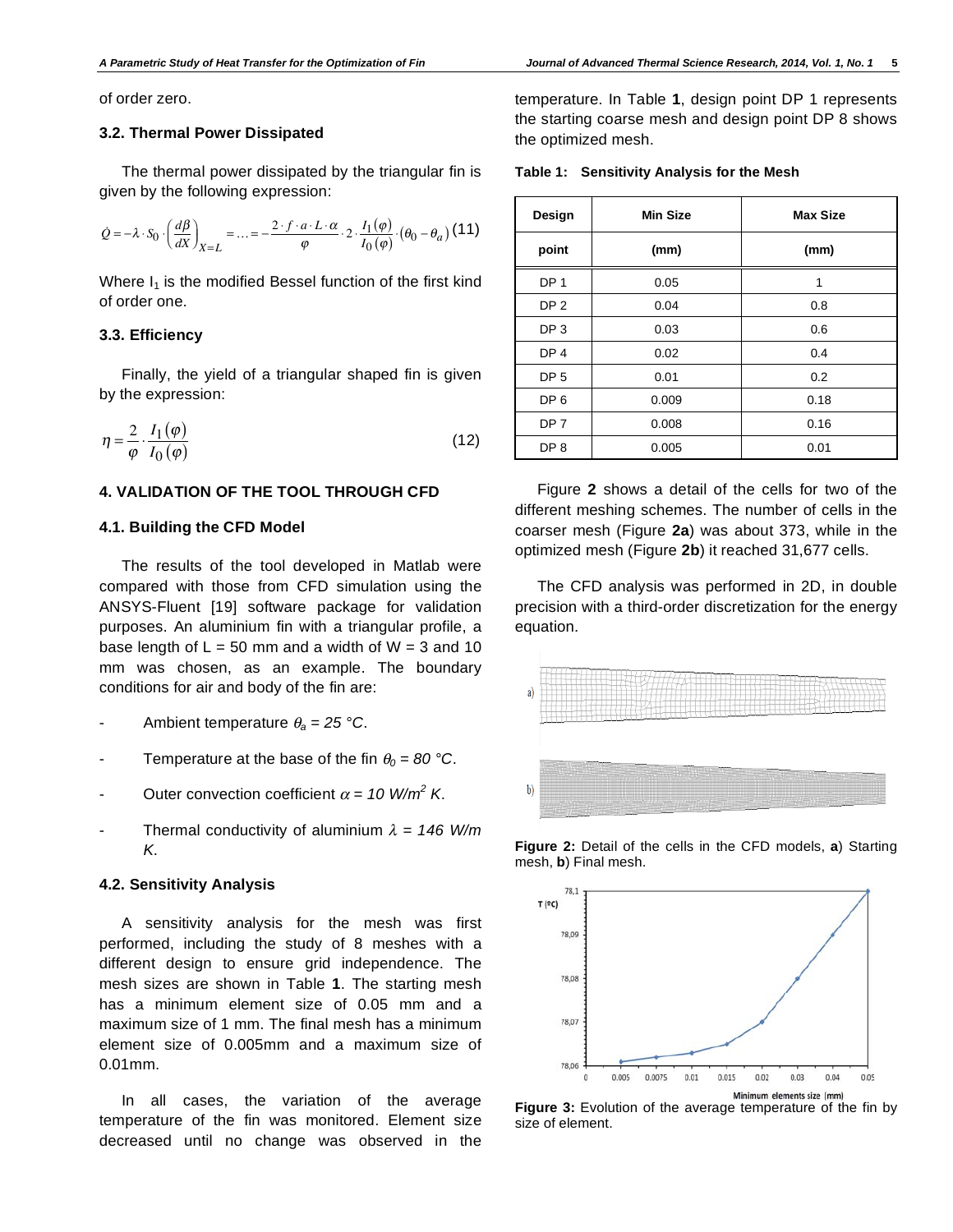of order zero.

# **3.2. Thermal Power Dissipated**

The thermal power dissipated by the triangular fin is given by the following expression:

$$
\dot{Q} = -\lambda \cdot S_0 \cdot \left(\frac{d\beta}{dX}\right)_{X=L} = \dots = -\frac{2 \cdot f \cdot a \cdot L \cdot \alpha}{\varphi} \cdot 2 \cdot \frac{I_1(\varphi)}{I_0(\varphi)} \cdot (\theta_0 - \theta_a) \tag{11}
$$

Where  $I_1$  is the modified Bessel function of the first kind of order one.

#### **3.3. Efficiency**

Finally, the yield of a triangular shaped fin is given by the expression:

$$
\eta = \frac{2}{\varphi} \cdot \frac{I_1(\varphi)}{I_0(\varphi)}\tag{12}
$$

## **4. VALIDATION OF THE TOOL THROUGH CFD**

#### **4.1. Building the CFD Model**

The results of the tool developed in Matlab were compared with those from CFD simulation using the ANSYS-Fluent [19] software package for validation purposes. An aluminium fin with a triangular profile, a base length of  $L = 50$  mm and a width of  $W = 3$  and 10 mm was chosen, as an example. The boundary conditions for air and body of the fin are:

- Ambient temperature  $\theta_a = 25$  °C.
- Temperature at the base of the fin  $\theta_0 = 80$  °C.
- Outer convection coefficient  $\alpha = 10$  W/m<sup>2</sup> K.
- Thermal conductivity of aluminium  $\lambda = 146$  W/m *K*.

#### **4.2. Sensitivity Analysis**

A sensitivity analysis for the mesh was first performed, including the study of 8 meshes with a different design to ensure grid independence. The mesh sizes are shown in Table **1**. The starting mesh has a minimum element size of 0.05 mm and a maximum size of 1 mm. The final mesh has a minimum element size of 0.005mm and a maximum size of 0.01mm.

In all cases, the variation of the average temperature of the fin was monitored. Element size decreased until no change was observed in the temperature. In Table **1**, design point DP 1 represents the starting coarse mesh and design point DP 8 shows the optimized mesh.

**Table 1: Sensitivity Analysis for the Mesh** 

| Design          | <b>Min Size</b> | <b>Max Size</b> |
|-----------------|-----------------|-----------------|
| point           | (mm)            | (mm)            |
| DP <sub>1</sub> | 0.05            | 1               |
| DP <sub>2</sub> | 0.04            | 0.8             |
| DP <sub>3</sub> | 0.03            | 0.6             |
| DP <sub>4</sub> | 0.02            | 0.4             |
| DP <sub>5</sub> | 0.01            | 0.2             |
| DP <sub>6</sub> | 0.009           | 0.18            |
| DP <sub>7</sub> | 0.008           | 0.16            |
| DP <sub>8</sub> | 0.005           | 0.01            |

Figure **2** shows a detail of the cells for two of the different meshing schemes. The number of cells in the coarser mesh (Figure **2a**) was about 373, while in the optimized mesh (Figure **2b**) it reached 31,677 cells.

The CFD analysis was performed in 2D, in double precision with a third-order discretization for the energy equation.



**Figure 2:** Detail of the cells in the CFD models, **a**) Starting mesh, **b**) Final mesh.



**Figure 3:** Evolution of the average temperature of the fin by size of element.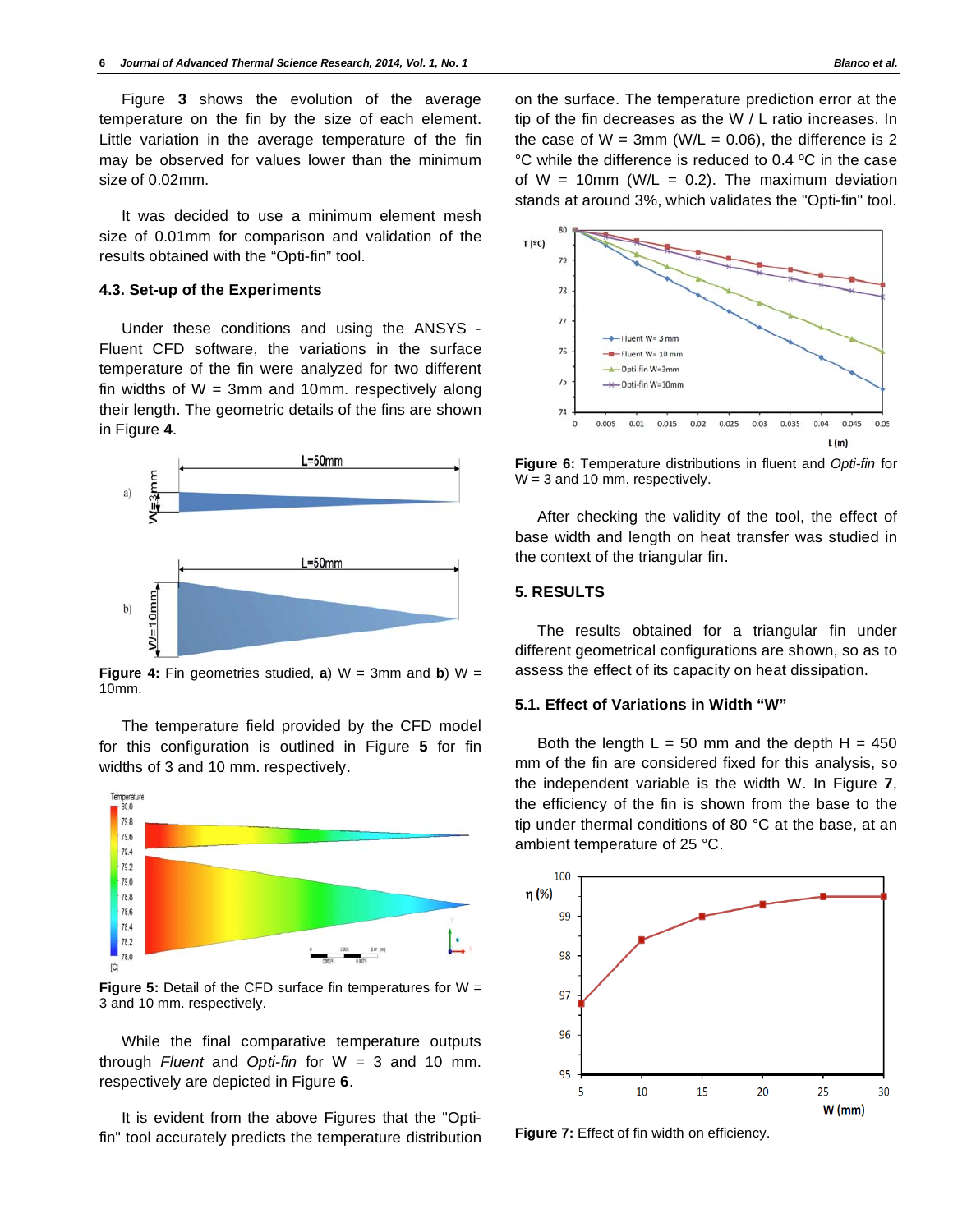Figure **3** shows the evolution of the average temperature on the fin by the size of each element. Little variation in the average temperature of the fin may be observed for values lower than the minimum size of 0.02mm.

It was decided to use a minimum element mesh size of 0.01mm for comparison and validation of the results obtained with the "Opti-fin" tool.

#### **4.3. Set-up of the Experiments**

Under these conditions and using the ANSYS - Fluent CFD software, the variations in the surface temperature of the fin were analyzed for two different fin widths of  $W = 3$ mm and 10mm. respectively along their length. The geometric details of the fins are shown in Figure **4**.



**Figure 4:** Fin geometries studied,  $\mathbf{a}$ ) W = 3mm and  $\mathbf{b}$ ) W = 10mm.

The temperature field provided by the CFD model for this configuration is outlined in Figure **5** for fin widths of 3 and 10 mm. respectively.



**Figure 5:** Detail of the CFD surface fin temperatures for W = 3 and 10 mm. respectively.

While the final comparative temperature outputs through *Fluent* and *Opti-fin* for W = 3 and 10 mm. respectively are depicted in Figure **6**.

It is evident from the above Figures that the "Optifin" tool accurately predicts the temperature distribution on the surface. The temperature prediction error at the tip of the fin decreases as the W / L ratio increases. In the case of  $W = 3$ mm (W/L = 0.06), the difference is 2 °C while the difference is reduced to 0.4 ºC in the case of  $W = 10$ mm (W/L = 0.2). The maximum deviation stands at around 3%, which validates the "Opti-fin" tool.



**Figure 6:** Temperature distributions in fluent and *Opti-fin* for W = 3 and 10 mm. respectively.

After checking the validity of the tool, the effect of base width and length on heat transfer was studied in the context of the triangular fin.

# **5. RESULTS**

The results obtained for a triangular fin under different geometrical configurations are shown, so as to assess the effect of its capacity on heat dissipation.

#### **5.1. Effect of Variations in Width "W"**

Both the length  $L = 50$  mm and the depth  $H = 450$ mm of the fin are considered fixed for this analysis, so the independent variable is the width W. In Figure **7**, the efficiency of the fin is shown from the base to the tip under thermal conditions of 80 °C at the base, at an ambient temperature of 25 °C.



**Figure 7:** Effect of fin width on efficiency.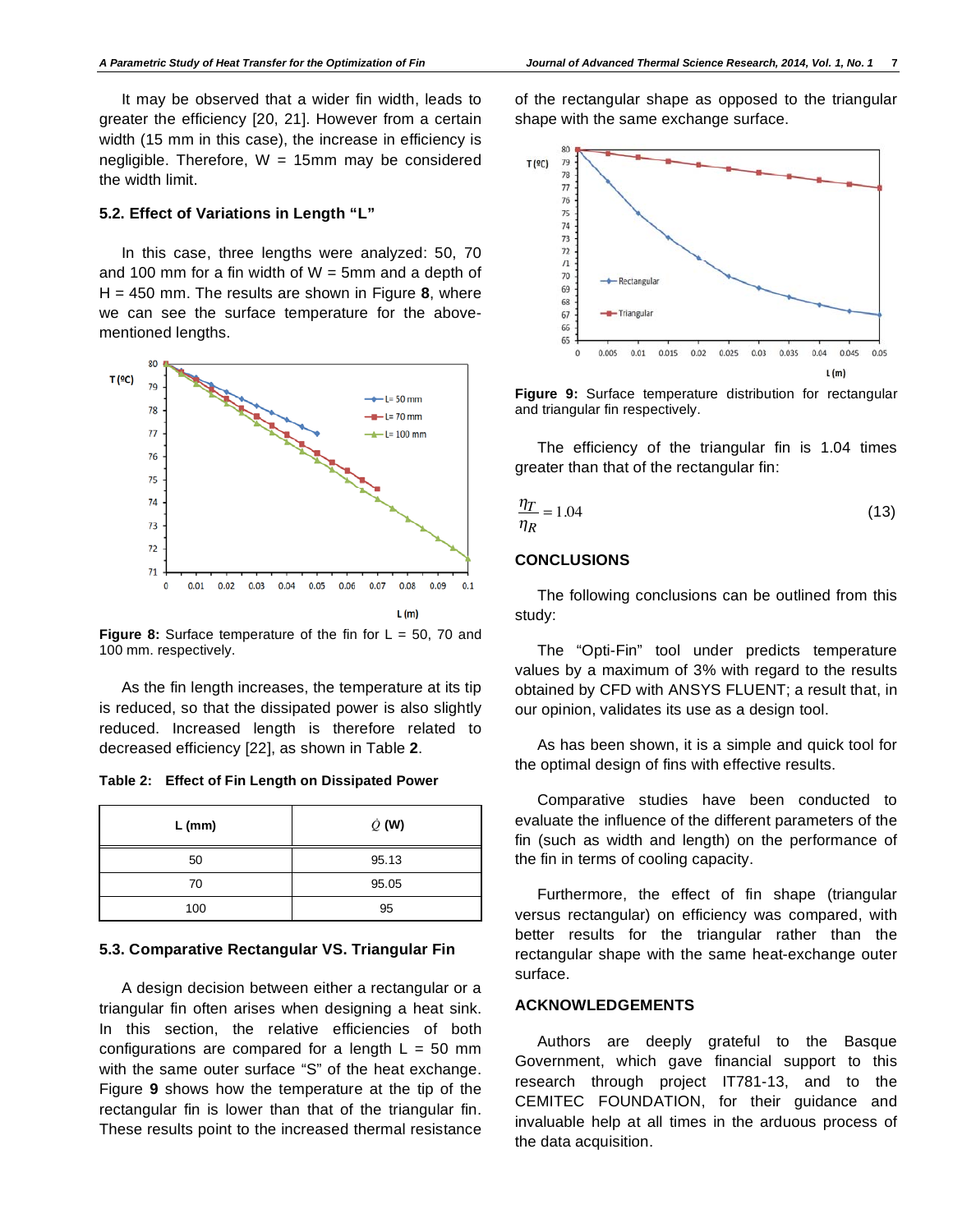It may be observed that a wider fin width, leads to greater the efficiency [20, 21]. However from a certain width (15 mm in this case), the increase in efficiency is negligible. Therefore,  $W = 15$ mm may be considered the width limit.

#### **5.2. Effect of Variations in Length "L"**

In this case, three lengths were analyzed: 50, 70 and 100 mm for a fin width of  $W = 5$ mm and a depth of H = 450 mm. The results are shown in Figure **8**, where we can see the surface temperature for the abovementioned lengths.



**Figure 8:** Surface temperature of the fin for L = 50, 70 and 100 mm. respectively.

As the fin length increases, the temperature at its tip is reduced, so that the dissipated power is also slightly reduced. Increased length is therefore related to decreased efficiency [22], as shown in Table **2**.

**Table 2: Effect of Fin Length on Dissipated Power** 

| $L$ (mm) | $\dot{Q}$ (W) |
|----------|---------------|
| 50       | 95.13         |
| 70       | 95.05         |
| 100      | 95            |

#### **5.3. Comparative Rectangular VS. Triangular Fin**

A design decision between either a rectangular or a triangular fin often arises when designing a heat sink. In this section, the relative efficiencies of both configurations are compared for a length  $L = 50$  mm with the same outer surface "S" of the heat exchange. Figure **9** shows how the temperature at the tip of the rectangular fin is lower than that of the triangular fin. These results point to the increased thermal resistance

of the rectangular shape as opposed to the triangular shape with the same exchange surface.



**Figure 9:** Surface temperature distribution for rectangular and triangular fin respectively.

The efficiency of the triangular fin is 1.04 times greater than that of the rectangular fin:

$$
\frac{\eta_T}{\eta_R} = 1.04\tag{13}
$$

#### **CONCLUSIONS**

The following conclusions can be outlined from this study:

The "Opti-Fin" tool under predicts temperature values by a maximum of 3% with regard to the results obtained by CFD with ANSYS FLUENT; a result that, in our opinion, validates its use as a design tool.

As has been shown, it is a simple and quick tool for the optimal design of fins with effective results.

Comparative studies have been conducted to evaluate the influence of the different parameters of the fin (such as width and length) on the performance of the fin in terms of cooling capacity.

Furthermore, the effect of fin shape (triangular versus rectangular) on efficiency was compared, with better results for the triangular rather than the rectangular shape with the same heat-exchange outer surface.

#### **ACKNOWLEDGEMENTS**

Authors are deeply grateful to the Basque Government, which gave financial support to this research through project IT781-13, and to the CEMITEC FOUNDATION, for their guidance and invaluable help at all times in the arduous process of the data acquisition.